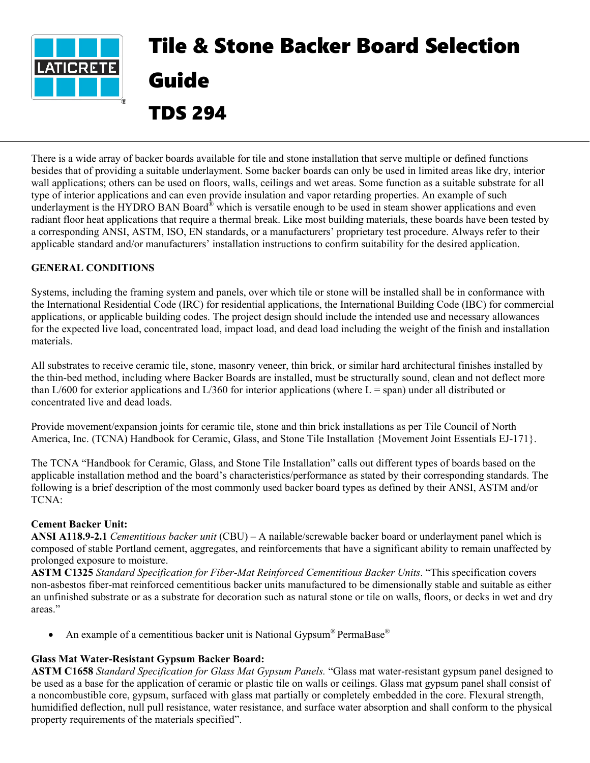

# Tile & Stone Backer Board Selection Guide TDS 294

There is a wide array of backer boards available for tile and stone installation that serve multiple or defined functions besides that of providing a suitable underlayment. Some backer boards can only be used in limited areas like dry, interior wall applications; others can be used on floors, walls, ceilings and wet areas. Some function as a suitable substrate for all type of interior applications and can even provide insulation and vapor retarding properties. An example of such underlayment is the HYDRO BAN Board<sup>®</sup> which is versatile enough to be used in steam shower applications and even radiant floor heat applications that require a thermal break. Like most building materials, these boards have been tested by a corresponding ANSI, ASTM, ISO, EN standards, or a manufacturers' proprietary test procedure. Always refer to their applicable standard and/or manufacturers' installation instructions to confirm suitability for the desired application.

# **GENERAL CONDITIONS**

Systems, including the framing system and panels, over which tile or stone will be installed shall be in conformance with the International Residential Code (IRC) for residential applications, the International Building Code (IBC) for commercial applications, or applicable building codes. The project design should include the intended use and necessary allowances for the expected live load, concentrated load, impact load, and dead load including the weight of the finish and installation materials.

All substrates to receive ceramic tile, stone, masonry veneer, thin brick, or similar hard architectural finishes installed by the thin-bed method, including where Backer Boards are installed, must be structurally sound, clean and not deflect more than  $L/600$  for exterior applications and  $L/360$  for interior applications (where  $L =$  span) under all distributed or concentrated live and dead loads.

Provide movement/expansion joints for ceramic tile, stone and thin brick installations as per Tile Council of North America, Inc. (TCNA) Handbook for Ceramic, Glass, and Stone Tile Installation {Movement Joint Essentials EJ-171}.

The TCNA "Handbook for Ceramic, Glass, and Stone Tile Installation" calls out different types of boards based on the applicable installation method and the board's characteristics/performance as stated by their corresponding standards. The following is a brief description of the most commonly used backer board types as defined by their ANSI, ASTM and/or TCNA:

# **Cement Backer Unit:**

**ANSI A118.9-2.1** *Cementitious backer unit* (CBU) – A nailable/screwable backer board or underlayment panel which is composed of stable Portland cement, aggregates, and reinforcements that have a significant ability to remain unaffected by prolonged exposure to moisture.

**ASTM C1325** *Standard Specification for Fiber-Mat Reinforced Cementitious Backer Units*. "This specification covers non-asbestos fiber-mat reinforced cementitious backer units manufactured to be dimensionally stable and suitable as either an unfinished substrate or as a substrate for decoration such as natural stone or tile on walls, floors, or decks in wet and dry areas."

• An example of a cementitious backer unit is National Gypsum® PermaBase®

# **Glass Mat Water-Resistant Gypsum Backer Board:**

**ASTM C1658** *Standard Specification for Glass Mat Gypsum Panels.* "Glass mat water-resistant gypsum panel designed to be used as a base for the application of ceramic or plastic tile on walls or ceilings. Glass mat gypsum panel shall consist of a noncombustible core, gypsum, surfaced with glass mat partially or completely embedded in the core. Flexural strength, humidified deflection, null pull resistance, water resistance, and surface water absorption and shall conform to the physical property requirements of the materials specified".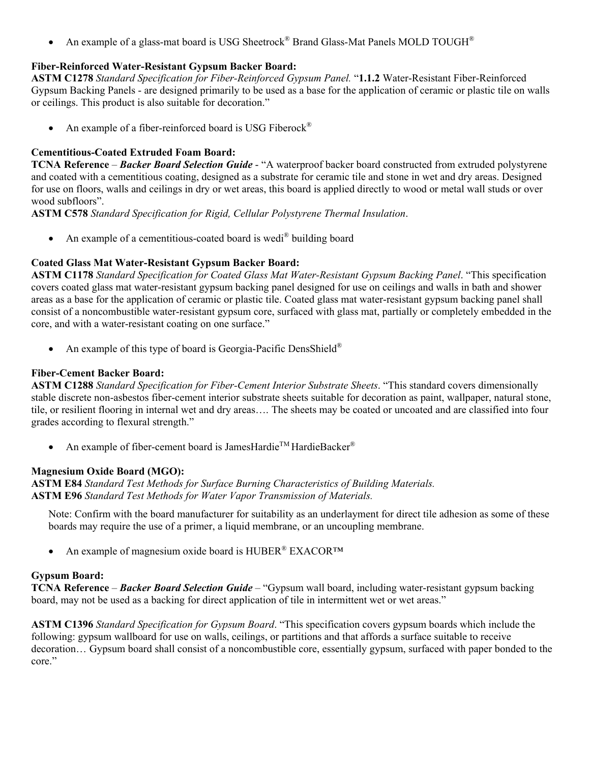• An example of a glass-mat board is USG Sheetrock<sup>®</sup> Brand Glass-Mat Panels MOLD TOUGH<sup>®</sup>

# **Fiber-Reinforced Water-Resistant Gypsum Backer Board:**

**ASTM C1278** *Standard Specification for Fiber-Reinforced Gypsum Panel.* "**1.1.2** Water-Resistant Fiber-Reinforced Gypsum Backing Panels - are designed primarily to be used as a base for the application of ceramic or plastic tile on walls or ceilings. This product is also suitable for decoration."

An example of a fiber-reinforced board is USG Fiberock<sup>®</sup>

#### **Cementitious-Coated Extruded Foam Board:**

**TCNA Reference** – *Backer Board Selection Guide* - "A waterproof backer board constructed from extruded polystyrene and coated with a cementitious coating, designed as a substrate for ceramic tile and stone in wet and dry areas. Designed for use on floors, walls and ceilings in dry or wet areas, this board is applied directly to wood or metal wall studs or over wood subfloors".

**ASTM C578** *Standard Specification for Rigid, Cellular Polystyrene Thermal Insulation*.

• An example of a cementitious-coated board is wedi<sup>®</sup> building board

# **Coated Glass Mat Water-Resistant Gypsum Backer Board:**

**ASTM C1178** *Standard Specification for Coated Glass Mat Water-Resistant Gypsum Backing Panel*. "This specification covers coated glass mat water-resistant gypsum backing panel designed for use on ceilings and walls in bath and shower areas as a base for the application of ceramic or plastic tile. Coated glass mat water-resistant gypsum backing panel shall consist of a noncombustible water-resistant gypsum core, surfaced with glass mat, partially or completely embedded in the core, and with a water-resistant coating on one surface."

An example of this type of board is Georgia-Pacific DensShield®

#### **Fiber-Cement Backer Board:**

**ASTM C1288** *Standard Specification for Fiber-Cement Interior Substrate Sheets*. "This standard covers dimensionally stable discrete non-asbestos fiber-cement interior substrate sheets suitable for decoration as paint, wallpaper, natural stone, tile, or resilient flooring in internal wet and dry areas…. The sheets may be coated or uncoated and are classified into four grades according to flexural strength."

• An example of fiber-cement board is JamesHardie<sup>TM</sup> HardieBacker<sup>®</sup>

# **Magnesium Oxide Board (MGO):**

**ASTM E84** *Standard Test Methods for Surface Burning Characteristics of Building Materials.* **ASTM E96** *Standard Test Methods for Water Vapor Transmission of Materials.*

Note: Confirm with the board manufacturer for suitability as an underlayment for direct tile adhesion as some of these boards may require the use of a primer, a liquid membrane, or an uncoupling membrane.

An example of magnesium oxide board is HUBER® EXACOR™

#### **Gypsum Board:**

**TCNA Reference** – *Backer Board Selection Guide* – "Gypsum wall board, including water-resistant gypsum backing board, may not be used as a backing for direct application of tile in intermittent wet or wet areas."

**ASTM C1396** *Standard Specification for Gypsum Board*. "This specification covers gypsum boards which include the following: gypsum wallboard for use on walls, ceilings, or partitions and that affords a surface suitable to receive decoration… Gypsum board shall consist of a noncombustible core, essentially gypsum, surfaced with paper bonded to the core."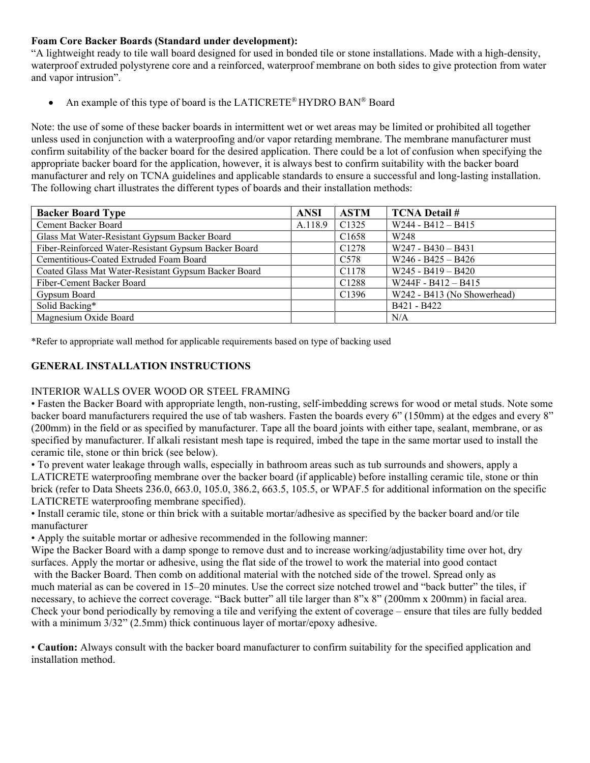# **Foam Core Backer Boards (Standard under development):**

"A lightweight ready to tile wall board designed for used in bonded tile or stone installations. Made with a high-density, waterproof extruded polystyrene core and a reinforced, waterproof membrane on both sides to give protection from water and vapor intrusion".

• An example of this type of board is the LATICRETE<sup>®</sup> HYDRO BAN<sup>®</sup> Board

Note: the use of some of these backer boards in intermittent wet or wet areas may be limited or prohibited all together unless used in conjunction with a waterproofing and/or vapor retarding membrane. The membrane manufacturer must confirm suitability of the backer board for the desired application. There could be a lot of confusion when specifying the appropriate backer board for the application, however, it is always best to confirm suitability with the backer board manufacturer and rely on TCNA guidelines and applicable standards to ensure a successful and long-lasting installation. The following chart illustrates the different types of boards and their installation methods:

| <b>Backer Board Type</b>                             | <b>ANSI</b> | <b>ASTM</b>       | <b>TCNA Detail #</b>        |
|------------------------------------------------------|-------------|-------------------|-----------------------------|
| Cement Backer Board                                  | A.118.9     | C <sub>1325</sub> | $W244 - B412 - B415$        |
| Glass Mat Water-Resistant Gypsum Backer Board        |             | C <sub>1658</sub> | W <sub>248</sub>            |
| Fiber-Reinforced Water-Resistant Gypsum Backer Board |             | C <sub>1278</sub> | $W247 - B430 - B431$        |
| Cementitious-Coated Extruded Foam Board              |             | C <sub>578</sub>  | $W246 - B425 - B426$        |
| Coated Glass Mat Water-Resistant Gypsum Backer Board |             | C1178             | $W245 - B419 - B420$        |
| Fiber-Cement Backer Board                            |             | C1288             | $W244F - B412 - B415$       |
| Gypsum Board                                         |             | C <sub>1396</sub> | W242 - B413 (No Showerhead) |
| Solid Backing*                                       |             |                   | B421 - B422                 |
| Magnesium Oxide Board                                |             |                   | N/A                         |

\*Refer to appropriate wall method for applicable requirements based on type of backing used

#### **GENERAL INSTALLATION INSTRUCTIONS**

#### INTERIOR WALLS OVER WOOD OR STEEL FRAMING

• Fasten the Backer Board with appropriate length, non-rusting, self-imbedding screws for wood or metal studs. Note some backer board manufacturers required the use of tab washers. Fasten the boards every 6" (150mm) at the edges and every 8" (200mm) in the field or as specified by manufacturer. Tape all the board joints with either tape, sealant, membrane, or as specified by manufacturer. If alkali resistant mesh tape is required, imbed the tape in the same mortar used to install the ceramic tile, stone or thin brick (see below).

• To prevent water leakage through walls, especially in bathroom areas such as tub surrounds and showers, apply a LATICRETE waterproofing membrane over the backer board (if applicable) before installing ceramic tile, stone or thin brick (refer to Data Sheets 236.0, 663.0, 105.0, 386.2, 663.5, 105.5, or WPAF.5 for additional information on the specific LATICRETE waterproofing membrane specified).

• Install ceramic tile, stone or thin brick with a suitable mortar/adhesive as specified by the backer board and/or tile manufacturer

• Apply the suitable mortar or adhesive recommended in the following manner:

Wipe the Backer Board with a damp sponge to remove dust and to increase working/adjustability time over hot, dry surfaces. Apply the mortar or adhesive, using the flat side of the trowel to work the material into good contact with the Backer Board. Then comb on additional material with the notched side of the trowel. Spread only as much material as can be covered in 15–20 minutes. Use the correct size notched trowel and "back butter" the tiles, if necessary, to achieve the correct coverage. "Back butter" all tile larger than 8"x 8" (200mm x 200mm) in facial area. Check your bond periodically by removing a tile and verifying the extent of coverage – ensure that tiles are fully bedded with a minimum  $3/32$ " (2.5mm) thick continuous layer of mortar/epoxy adhesive.

• **Caution:** Always consult with the backer board manufacturer to confirm suitability for the specified application and installation method.